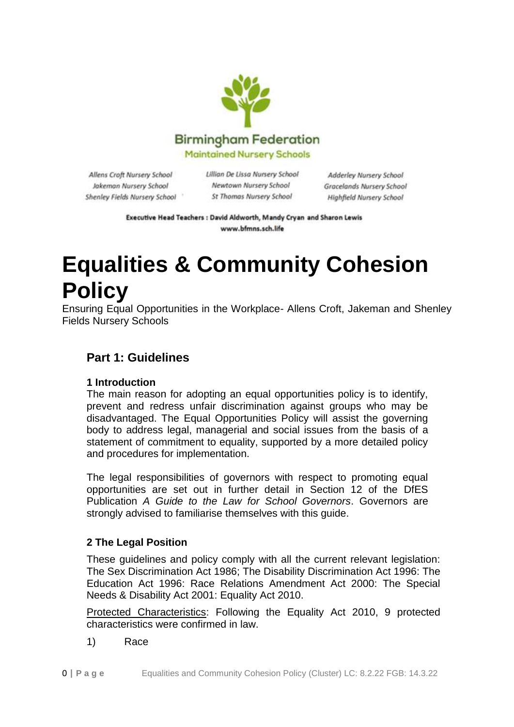

Allens Croft Nursery School Jakeman Nursery School Shenley Fields Nursery School Lillian De Lissa Nursery School Newtown Nursery School **St Thomas Nursery School** 

Adderley Nursery School Gracelands Nursery School Highfield Nursery School

Executive Head Teachers : David Aldworth, Mandy Cryan and Sharon Lewis www.bfmns.sch.life

# **Equalities & Community Cohesion Policy**

Ensuring Equal Opportunities in the Workplace- Allens Croft, Jakeman and Shenley Fields Nursery Schools

# **Part 1: Guidelines**

#### **1 Introduction**

The main reason for adopting an equal opportunities policy is to identify, prevent and redress unfair discrimination against groups who may be disadvantaged. The Equal Opportunities Policy will assist the governing body to address legal, managerial and social issues from the basis of a statement of commitment to equality, supported by a more detailed policy and procedures for implementation.

The legal responsibilities of governors with respect to promoting equal opportunities are set out in further detail in Section 12 of the DfES Publication *A Guide to the Law for School Governors*. Governors are strongly advised to familiarise themselves with this guide.

# **2 The Legal Position**

These guidelines and policy comply with all the current relevant legislation: The Sex Discrimination Act 1986; The Disability Discrimination Act 1996: The Education Act 1996: Race Relations Amendment Act 2000: The Special Needs & Disability Act 2001: Equality Act 2010.

Protected Characteristics: Following the Equality Act 2010, 9 protected characteristics were confirmed in law.

1) Race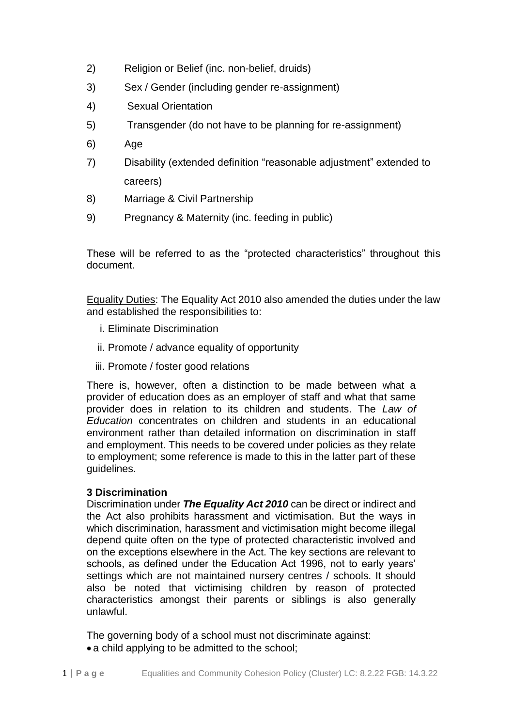- 2) Religion or Belief (inc. non-belief, druids)
- 3) Sex / Gender (including gender re-assignment)
- 4) Sexual Orientation
- 5) Transgender (do not have to be planning for re-assignment)
- 6) Age
- 7) Disability (extended definition "reasonable adjustment" extended to careers)
- 8) Marriage & Civil Partnership
- 9) Pregnancy & Maternity (inc. feeding in public)

These will be referred to as the "protected characteristics" throughout this document.

Equality Duties: The Equality Act 2010 also amended the duties under the law and established the responsibilities to:

- i. Eliminate Discrimination
- ii. Promote / advance equality of opportunity
- iii. Promote / foster good relations

There is, however, often a distinction to be made between what a provider of education does as an employer of staff and what that same provider does in relation to its children and students. The *Law of Education* concentrates on children and students in an educational environment rather than detailed information on discrimination in staff and employment. This needs to be covered under policies as they relate to employment; some reference is made to this in the latter part of these guidelines.

#### **3 Discrimination**

Discrimination under *The Equality Act 2010* can be direct or indirect and the Act also prohibits harassment and victimisation. But the ways in which discrimination, harassment and victimisation might become illegal depend quite often on the type of protected characteristic involved and on the exceptions elsewhere in the Act. The key sections are relevant to schools, as defined under the Education Act 1996, not to early years' settings which are not maintained nursery centres / schools. It should also be noted that victimising children by reason of protected characteristics amongst their parents or siblings is also generally unlawful.

The governing body of a school must not discriminate against: • a child applying to be admitted to the school;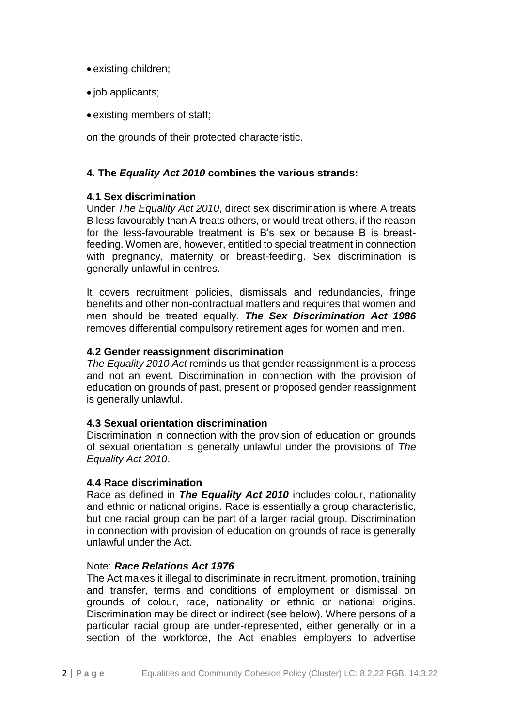- existing children;
- job applicants;
- existing members of staff;

on the grounds of their protected characteristic.

## **4. The** *Equality Act 2010* **combines the various strands:**

#### **4.1 Sex discrimination**

Under *The Equality Act 2010*, direct sex discrimination is where A treats B less favourably than A treats others, or would treat others, if the reason for the less-favourable treatment is B's sex or because B is breastfeeding. Women are, however, entitled to special treatment in connection with pregnancy, maternity or breast-feeding. Sex discrimination is generally unlawful in centres.

It covers recruitment policies, dismissals and redundancies, fringe benefits and other non-contractual matters and requires that women and men should be treated equally*. The Sex Discrimination Act 1986* removes differential compulsory retirement ages for women and men.

#### **4.2 Gender reassignment discrimination**

*The Equality 2010 Act* reminds us that gender reassignment is a process and not an event. Discrimination in connection with the provision of education on grounds of past, present or proposed gender reassignment is generally unlawful.

#### **4.3 Sexual orientation discrimination**

Discrimination in connection with the provision of education on grounds of sexual orientation is generally unlawful under the provisions of *The Equality Act 2010*.

#### **4.4 Race discrimination**

Race as defined in *The Equality Act 2010* includes colour, nationality and ethnic or national origins. Race is essentially a group characteristic, but one racial group can be part of a larger racial group. Discrimination in connection with provision of education on grounds of race is generally unlawful under the Act.

#### Note: *Race Relations Act 1976*

The Act makes it illegal to discriminate in recruitment, promotion, training and transfer, terms and conditions of employment or dismissal on grounds of colour, race, nationality or ethnic or national origins. Discrimination may be direct or indirect (see below). Where persons of a particular racial group are under-represented, either generally or in a section of the workforce, the Act enables employers to advertise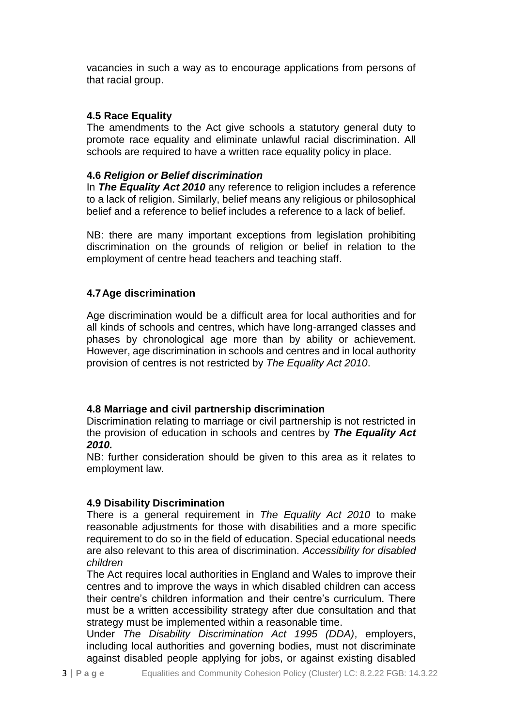vacancies in such a way as to encourage applications from persons of that racial group.

# **4.5 Race Equality**

The amendments to the Act give schools a statutory general duty to promote race equality and eliminate unlawful racial discrimination. All schools are required to have a written race equality policy in place.

### **4.6** *Religion or Belief discrimination*

In *The Equality Act 2010* any reference to religion includes a reference to a lack of religion. Similarly, belief means any religious or philosophical belief and a reference to belief includes a reference to a lack of belief.

NB: there are many important exceptions from legislation prohibiting discrimination on the grounds of religion or belief in relation to the employment of centre head teachers and teaching staff.

# **4.7Age discrimination**

Age discrimination would be a difficult area for local authorities and for all kinds of schools and centres, which have long-arranged classes and phases by chronological age more than by ability or achievement. However, age discrimination in schools and centres and in local authority provision of centres is not restricted by *The Equality Act 2010*.

#### **4.8 Marriage and civil partnership discrimination**

Discrimination relating to marriage or civil partnership is not restricted in the provision of education in schools and centres by *The Equality Act 2010.*

NB: further consideration should be given to this area as it relates to employment law.

# **4.9 Disability Discrimination**

There is a general requirement in *The Equality Act 2010* to make reasonable adjustments for those with disabilities and a more specific requirement to do so in the field of education. Special educational needs are also relevant to this area of discrimination. *Accessibility for disabled children* 

The Act requires local authorities in England and Wales to improve their centres and to improve the ways in which disabled children can access their centre's children information and their centre's curriculum. There must be a written accessibility strategy after due consultation and that strategy must be implemented within a reasonable time.

Under *The Disability Discrimination Act 1995 (DDA)*, employers, including local authorities and governing bodies, must not discriminate against disabled people applying for jobs, or against existing disabled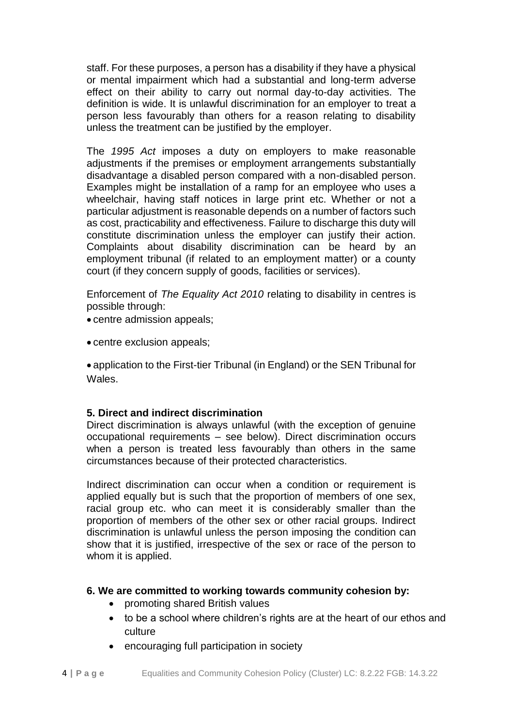staff. For these purposes, a person has a disability if they have a physical or mental impairment which had a substantial and long-term adverse effect on their ability to carry out normal day-to-day activities. The definition is wide. It is unlawful discrimination for an employer to treat a person less favourably than others for a reason relating to disability unless the treatment can be justified by the employer.

The *1995 Act* imposes a duty on employers to make reasonable adjustments if the premises or employment arrangements substantially disadvantage a disabled person compared with a non-disabled person. Examples might be installation of a ramp for an employee who uses a wheelchair, having staff notices in large print etc. Whether or not a particular adjustment is reasonable depends on a number of factors such as cost, practicability and effectiveness. Failure to discharge this duty will constitute discrimination unless the employer can justify their action. Complaints about disability discrimination can be heard by an employment tribunal (if related to an employment matter) or a county court (if they concern supply of goods, facilities or services).

Enforcement of *The Equality Act 2010* relating to disability in centres is possible through:

- centre admission appeals;
- centre exclusion appeals;

 application to the First-tier Tribunal (in England) or the SEN Tribunal for Wales.

#### **5. Direct and indirect discrimination**

Direct discrimination is always unlawful (with the exception of genuine occupational requirements – see below). Direct discrimination occurs when a person is treated less favourably than others in the same circumstances because of their protected characteristics.

Indirect discrimination can occur when a condition or requirement is applied equally but is such that the proportion of members of one sex, racial group etc. who can meet it is considerably smaller than the proportion of members of the other sex or other racial groups. Indirect discrimination is unlawful unless the person imposing the condition can show that it is justified, irrespective of the sex or race of the person to whom it is applied.

#### **6. We are committed to working towards community cohesion by:**

- promoting shared British values
- to be a school where children's rights are at the heart of our ethos and culture
- encouraging full participation in society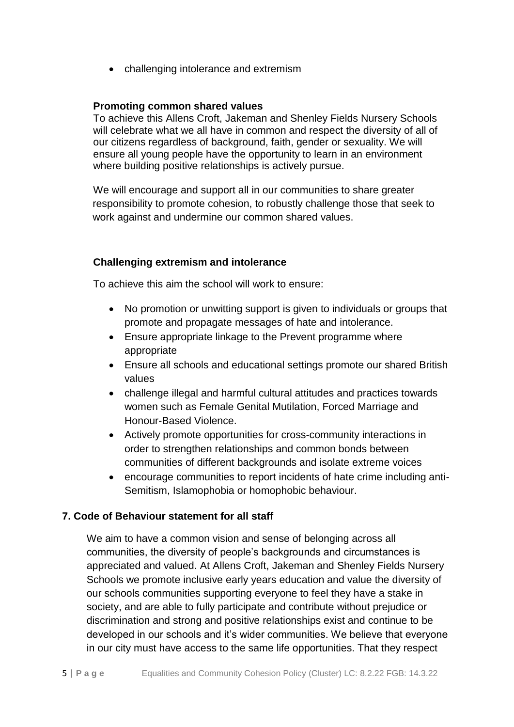• challenging intolerance and extremism

#### **Promoting common shared values**

To achieve this Allens Croft, Jakeman and Shenley Fields Nursery Schools will celebrate what we all have in common and respect the diversity of all of our citizens regardless of background, faith, gender or sexuality. We will ensure all young people have the opportunity to learn in an environment where building positive relationships is actively pursue.

We will encourage and support all in our communities to share greater responsibility to promote cohesion, to robustly challenge those that seek to work against and undermine our common shared values.

# **Challenging extremism and intolerance**

To achieve this aim the school will work to ensure:

- No promotion or unwitting support is given to individuals or groups that promote and propagate messages of hate and intolerance.
- Ensure appropriate linkage to the Prevent programme where appropriate
- Ensure all schools and educational settings promote our shared British values
- challenge illegal and harmful cultural attitudes and practices towards women such as Female Genital Mutilation, Forced Marriage and Honour-Based Violence.
- Actively promote opportunities for cross-community interactions in order to strengthen relationships and common bonds between communities of different backgrounds and isolate extreme voices
- encourage communities to report incidents of hate crime including anti-Semitism, Islamophobia or homophobic behaviour.

# **7. Code of Behaviour statement for all staff**

We aim to have a common vision and sense of belonging across all communities, the diversity of people's backgrounds and circumstances is appreciated and valued. At Allens Croft, Jakeman and Shenley Fields Nursery Schools we promote inclusive early years education and value the diversity of our schools communities supporting everyone to feel they have a stake in society, and are able to fully participate and contribute without prejudice or discrimination and strong and positive relationships exist and continue to be developed in our schools and it's wider communities. We believe that everyone in our city must have access to the same life opportunities. That they respect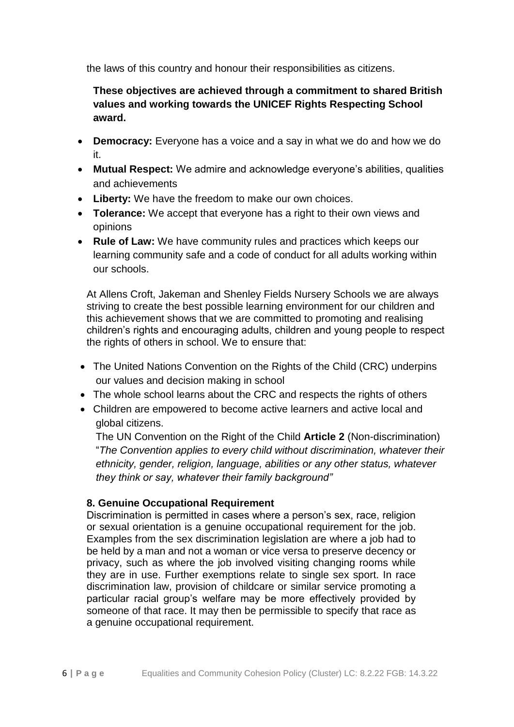the laws of this country and honour their responsibilities as citizens.

**These objectives are achieved through a commitment to shared British values and working towards the UNICEF Rights Respecting School award.** 

- **Democracy:** Everyone has a voice and a say in what we do and how we do it.
- **Mutual Respect:** We admire and acknowledge everyone's abilities, qualities and achievements
- **Liberty:** We have the freedom to make our own choices.
- **Tolerance:** We accept that everyone has a right to their own views and opinions
- **Rule of Law:** We have community rules and practices which keeps our learning community safe and a code of conduct for all adults working within our schools.

At Allens Croft, Jakeman and Shenley Fields Nursery Schools we are always striving to create the best possible learning environment for our children and this achievement shows that we are committed to promoting and realising children's rights and encouraging adults, children and young people to respect the rights of others in school. We to ensure that:

- The United Nations Convention on the Rights of the Child (CRC) underpins our values and decision making in school
- The whole school learns about the CRC and respects the rights of others
- Children are empowered to become active learners and active local and global citizens.

The UN Convention on the Right of the Child **Article 2** (Non-discrimination) "*The Convention applies to every child without discrimination, whatever their ethnicity, gender, religion, language, abilities or any other status, whatever they think or say, whatever their family background"*

#### **8. Genuine Occupational Requirement**

Discrimination is permitted in cases where a person's sex, race, religion or sexual orientation is a genuine occupational requirement for the job. Examples from the sex discrimination legislation are where a job had to be held by a man and not a woman or vice versa to preserve decency or privacy, such as where the job involved visiting changing rooms while they are in use. Further exemptions relate to single sex sport. In race discrimination law, provision of childcare or similar service promoting a particular racial group's welfare may be more effectively provided by someone of that race. It may then be permissible to specify that race as a genuine occupational requirement.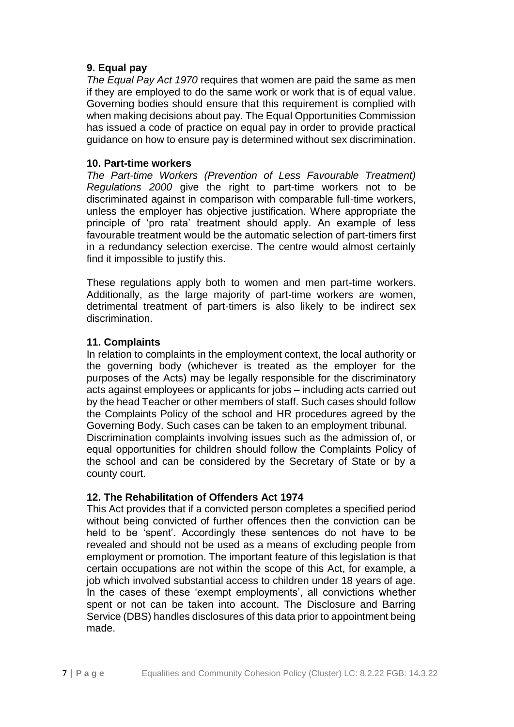#### **9. Equal pay**

*The Equal Pay Act 1970* requires that women are paid the same as men if they are employed to do the same work or work that is of equal value. Governing bodies should ensure that this requirement is complied with when making decisions about pay. The Equal Opportunities Commission has issued a code of practice on equal pay in order to provide practical guidance on how to ensure pay is determined without sex discrimination.

#### **10. Part-time workers**

*The Part-time Workers (Prevention of Less Favourable Treatment) Regulations 2000* give the right to part-time workers not to be discriminated against in comparison with comparable full-time workers, unless the employer has objective justification. Where appropriate the principle of 'pro rata' treatment should apply. An example of less favourable treatment would be the automatic selection of part-timers first in a redundancy selection exercise. The centre would almost certainly find it impossible to justify this.

These regulations apply both to women and men part-time workers. Additionally, as the large majority of part-time workers are women, detrimental treatment of part-timers is also likely to be indirect sex discrimination.

### **11. Complaints**

In relation to complaints in the employment context, the local authority or the governing body (whichever is treated as the employer for the purposes of the Acts) may be legally responsible for the discriminatory acts against employees or applicants for jobs – including acts carried out by the head Teacher or other members of staff. Such cases should follow the Complaints Policy of the school and HR procedures agreed by the Governing Body. Such cases can be taken to an employment tribunal. Discrimination complaints involving issues such as the admission of, or equal opportunities for children should follow the Complaints Policy of the school and can be considered by the Secretary of State or by a county court.

#### **12. The Rehabilitation of Offenders Act 1974**

This Act provides that if a convicted person completes a specified period without being convicted of further offences then the conviction can be held to be 'spent'. Accordingly these sentences do not have to be revealed and should not be used as a means of excluding people from employment or promotion. The important feature of this legislation is that certain occupations are not within the scope of this Act, for example, a job which involved substantial access to children under 18 years of age. In the cases of these 'exempt employments', all convictions whether spent or not can be taken into account. The Disclosure and Barring Service (DBS) handles disclosures of this data prior to appointment being made.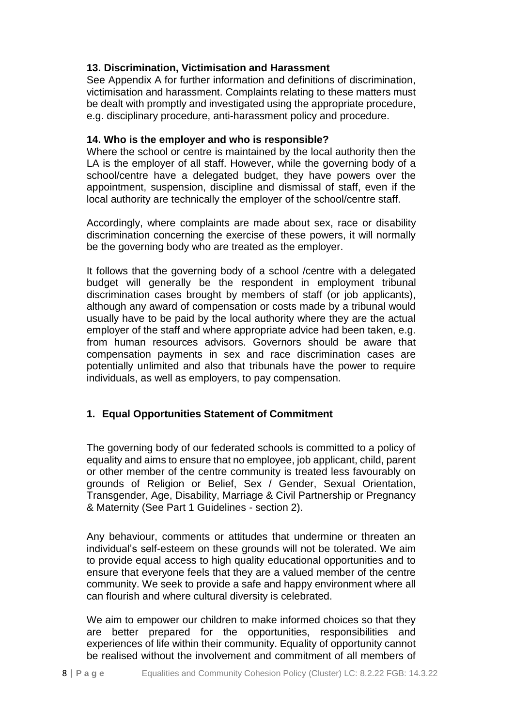## **13. Discrimination, Victimisation and Harassment**

See Appendix A for further information and definitions of discrimination, victimisation and harassment. Complaints relating to these matters must be dealt with promptly and investigated using the appropriate procedure, e.g. disciplinary procedure, anti-harassment policy and procedure.

#### **14. Who is the employer and who is responsible?**

Where the school or centre is maintained by the local authority then the LA is the employer of all staff. However, while the governing body of a school/centre have a delegated budget, they have powers over the appointment, suspension, discipline and dismissal of staff, even if the local authority are technically the employer of the school/centre staff.

Accordingly, where complaints are made about sex, race or disability discrimination concerning the exercise of these powers, it will normally be the governing body who are treated as the employer.

It follows that the governing body of a school /centre with a delegated budget will generally be the respondent in employment tribunal discrimination cases brought by members of staff (or job applicants), although any award of compensation or costs made by a tribunal would usually have to be paid by the local authority where they are the actual employer of the staff and where appropriate advice had been taken, e.g. from human resources advisors. Governors should be aware that compensation payments in sex and race discrimination cases are potentially unlimited and also that tribunals have the power to require individuals, as well as employers, to pay compensation.

#### **1. Equal Opportunities Statement of Commitment**

The governing body of our federated schools is committed to a policy of equality and aims to ensure that no employee, job applicant, child, parent or other member of the centre community is treated less favourably on grounds of Religion or Belief, Sex / Gender, Sexual Orientation, Transgender, Age, Disability, Marriage & Civil Partnership or Pregnancy & Maternity (See Part 1 Guidelines - section 2).

Any behaviour, comments or attitudes that undermine or threaten an individual's self-esteem on these grounds will not be tolerated. We aim to provide equal access to high quality educational opportunities and to ensure that everyone feels that they are a valued member of the centre community. We seek to provide a safe and happy environment where all can flourish and where cultural diversity is celebrated.

We aim to empower our children to make informed choices so that they are better prepared for the opportunities, responsibilities and experiences of life within their community. Equality of opportunity cannot be realised without the involvement and commitment of all members of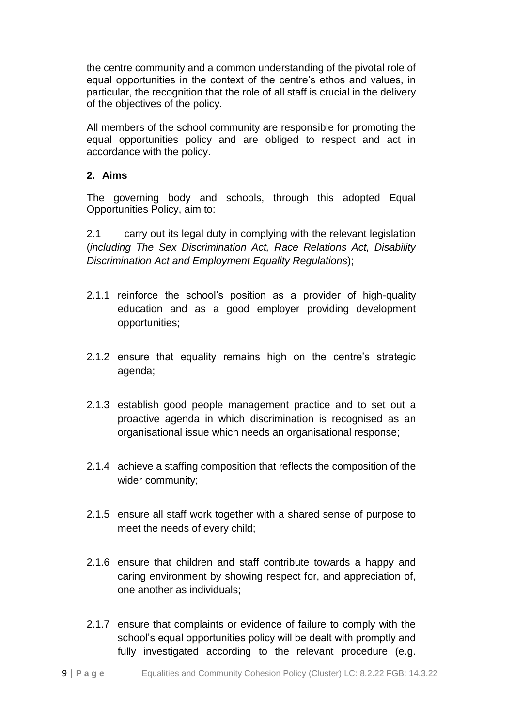the centre community and a common understanding of the pivotal role of equal opportunities in the context of the centre's ethos and values, in particular, the recognition that the role of all staff is crucial in the delivery of the objectives of the policy.

All members of the school community are responsible for promoting the equal opportunities policy and are obliged to respect and act in accordance with the policy.

### **2. Aims**

The governing body and schools, through this adopted Equal Opportunities Policy, aim to:

2.1 carry out its legal duty in complying with the relevant legislation (*including The Sex Discrimination Act, Race Relations Act, Disability Discrimination Act and Employment Equality Regulations*);

- 2.1.1 reinforce the school's position as a provider of high-quality education and as a good employer providing development opportunities;
- 2.1.2 ensure that equality remains high on the centre's strategic agenda;
- 2.1.3 establish good people management practice and to set out a proactive agenda in which discrimination is recognised as an organisational issue which needs an organisational response;
- 2.1.4 achieve a staffing composition that reflects the composition of the wider community;
- 2.1.5 ensure all staff work together with a shared sense of purpose to meet the needs of every child;
- 2.1.6 ensure that children and staff contribute towards a happy and caring environment by showing respect for, and appreciation of, one another as individuals;
- 2.1.7 ensure that complaints or evidence of failure to comply with the school's equal opportunities policy will be dealt with promptly and fully investigated according to the relevant procedure (e.g.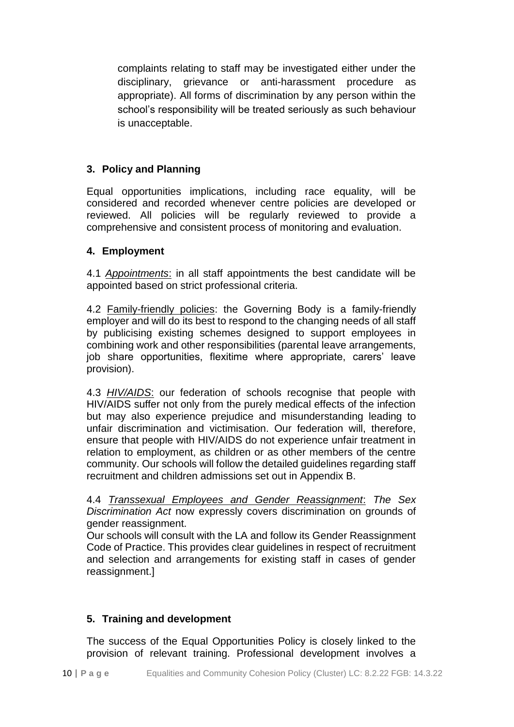complaints relating to staff may be investigated either under the disciplinary, grievance or anti-harassment procedure as appropriate). All forms of discrimination by any person within the school's responsibility will be treated seriously as such behaviour is unacceptable.

# **3. Policy and Planning**

Equal opportunities implications, including race equality, will be considered and recorded whenever centre policies are developed or reviewed. All policies will be regularly reviewed to provide a comprehensive and consistent process of monitoring and evaluation.

### **4. Employment**

4.1 *Appointments*: in all staff appointments the best candidate will be appointed based on strict professional criteria.

4.2 Family-friendly policies: the Governing Body is a family-friendly employer and will do its best to respond to the changing needs of all staff by publicising existing schemes designed to support employees in combining work and other responsibilities (parental leave arrangements, job share opportunities, flexitime where appropriate, carers' leave provision).

4.3 *HIV/AIDS*: our federation of schools recognise that people with HIV/AIDS suffer not only from the purely medical effects of the infection but may also experience prejudice and misunderstanding leading to unfair discrimination and victimisation. Our federation will, therefore, ensure that people with HIV/AIDS do not experience unfair treatment in relation to employment, as children or as other members of the centre community. Our schools will follow the detailed guidelines regarding staff recruitment and children admissions set out in Appendix B.

4.4 *Transsexual Employees and Gender Reassignment*: *The Sex Discrimination Act* now expressly covers discrimination on grounds of gender reassignment.

Our schools will consult with the LA and follow its Gender Reassignment Code of Practice. This provides clear guidelines in respect of recruitment and selection and arrangements for existing staff in cases of gender reassignment.]

# **5. Training and development**

The success of the Equal Opportunities Policy is closely linked to the provision of relevant training. Professional development involves a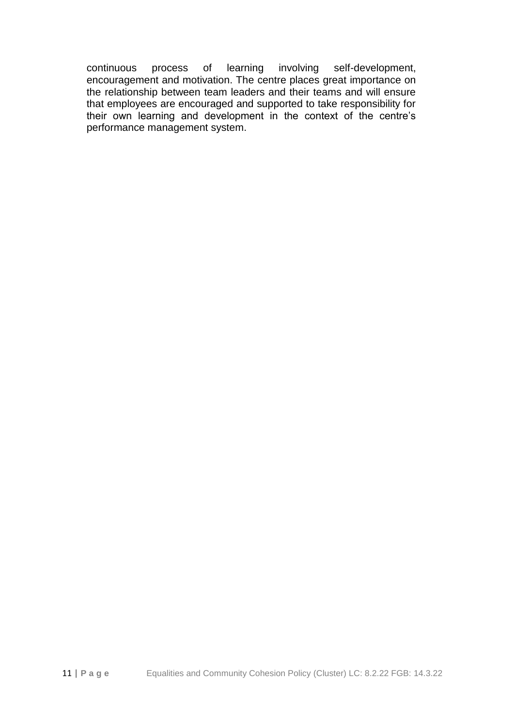continuous process of learning involving self-development, encouragement and motivation. The centre places great importance on the relationship between team leaders and their teams and will ensure that employees are encouraged and supported to take responsibility for their own learning and development in the context of the centre's performance management system.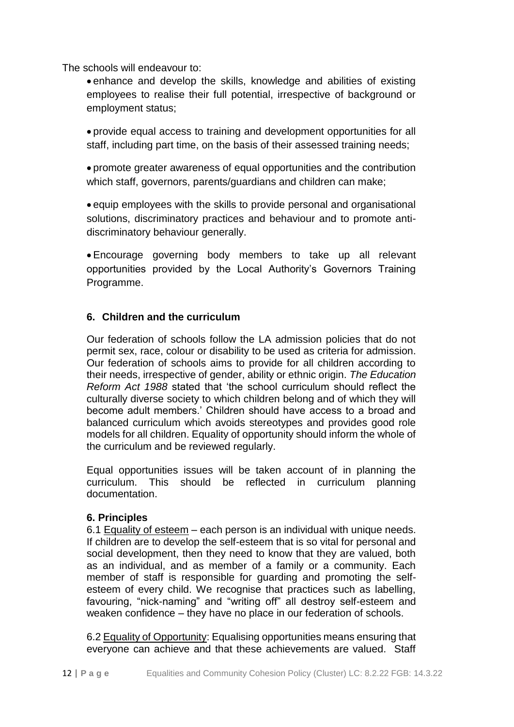The schools will endeavour to:

 enhance and develop the skills, knowledge and abilities of existing employees to realise their full potential, irrespective of background or employment status;

 provide equal access to training and development opportunities for all staff, including part time, on the basis of their assessed training needs;

 promote greater awareness of equal opportunities and the contribution which staff, governors, parents/guardians and children can make;

 equip employees with the skills to provide personal and organisational solutions, discriminatory practices and behaviour and to promote antidiscriminatory behaviour generally.

 Encourage governing body members to take up all relevant opportunities provided by the Local Authority's Governors Training Programme.

# **6. Children and the curriculum**

Our federation of schools follow the LA admission policies that do not permit sex, race, colour or disability to be used as criteria for admission. Our federation of schools aims to provide for all children according to their needs, irrespective of gender, ability or ethnic origin. *The Education Reform Act 1988* stated that 'the school curriculum should reflect the culturally diverse society to which children belong and of which they will become adult members.' Children should have access to a broad and balanced curriculum which avoids stereotypes and provides good role models for all children. Equality of opportunity should inform the whole of the curriculum and be reviewed regularly.

Equal opportunities issues will be taken account of in planning the curriculum. This should be reflected in curriculum planning documentation.

#### **6. Principles**

6.1 Equality of esteem – each person is an individual with unique needs. If children are to develop the self-esteem that is so vital for personal and social development, then they need to know that they are valued, both as an individual, and as member of a family or a community. Each member of staff is responsible for guarding and promoting the selfesteem of every child. We recognise that practices such as labelling, favouring, "nick-naming" and "writing off" all destroy self-esteem and weaken confidence – they have no place in our federation of schools.

6.2 Equality of Opportunity: Equalising opportunities means ensuring that everyone can achieve and that these achievements are valued. Staff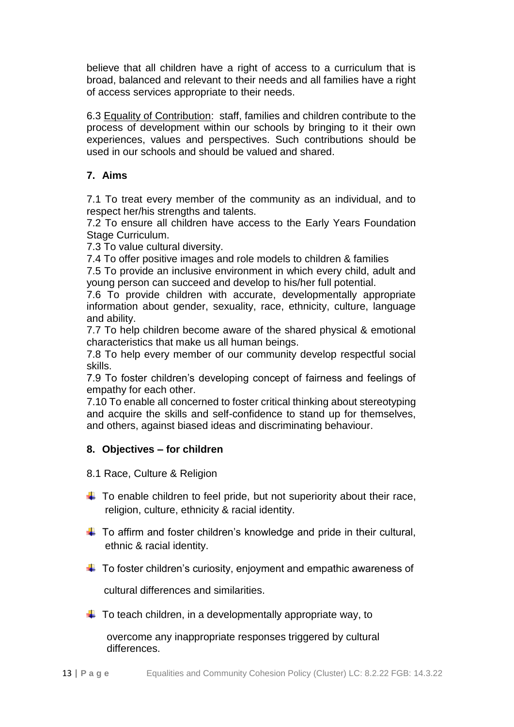believe that all children have a right of access to a curriculum that is broad, balanced and relevant to their needs and all families have a right of access services appropriate to their needs.

6.3 Equality of Contribution: staff, families and children contribute to the process of development within our schools by bringing to it their own experiences, values and perspectives. Such contributions should be used in our schools and should be valued and shared.

# **7. Aims**

7.1 To treat every member of the community as an individual, and to respect her/his strengths and talents.

7.2 To ensure all children have access to the Early Years Foundation Stage Curriculum.

7.3 To value cultural diversity.

7.4 To offer positive images and role models to children & families

7.5 To provide an inclusive environment in which every child, adult and young person can succeed and develop to his/her full potential.

7.6 To provide children with accurate, developmentally appropriate information about gender, sexuality, race, ethnicity, culture, language and ability.

7.7 To help children become aware of the shared physical & emotional characteristics that make us all human beings.

7.8 To help every member of our community develop respectful social skills.

7.9 To foster children's developing concept of fairness and feelings of empathy for each other.

7.10 To enable all concerned to foster critical thinking about stereotyping and acquire the skills and self-confidence to stand up for themselves, and others, against biased ideas and discriminating behaviour.

# **8. Objectives – for children**

- 8.1 Race, Culture & Religion
- $\ddot{\phantom{1}}$  To enable children to feel pride, but not superiority about their race, religion, culture, ethnicity & racial identity.
- $\downarrow$  To affirm and foster children's knowledge and pride in their cultural, ethnic & racial identity.
- $\ddot{\bullet}$  To foster children's curiosity, enjoyment and empathic awareness of

cultural differences and similarities.

 $\downarrow$  To teach children, in a developmentally appropriate way, to

 overcome any inappropriate responses triggered by cultural differences.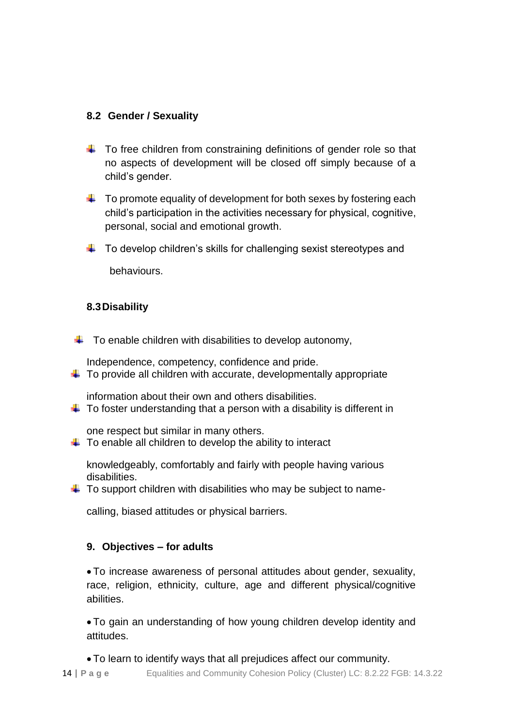# **8.2 Gender / Sexuality**

- $\ddot{\phantom{1}}$  To free children from constraining definitions of gender role so that no aspects of development will be closed off simply because of a child's gender.
- $\downarrow$  To promote equality of development for both sexes by fostering each child's participation in the activities necessary for physical, cognitive, personal, social and emotional growth.
- $\downarrow$  To develop children's skills for challenging sexist stereotypes and

behaviours.

# **8.3Disability**

 $\downarrow$  To enable children with disabilities to develop autonomy,

Independence, competency, confidence and pride.

 $\ddot{\phantom{1}}$  To provide all children with accurate, developmentally appropriate

information about their own and others disabilities.

 $\ddot{\phantom{1}}$  To foster understanding that a person with a disability is different in

one respect but similar in many others.

 $\ddot{\bullet}$  To enable all children to develop the ability to interact

knowledgeably, comfortably and fairly with people having various disabilities.

 $\ddot{\phantom{1}}$  To support children with disabilities who may be subject to name-

calling, biased attitudes or physical barriers.

# **9. Objectives – for adults**

 To increase awareness of personal attitudes about gender, sexuality, race, religion, ethnicity, culture, age and different physical/cognitive abilities.

 To gain an understanding of how young children develop identity and attitudes.

To learn to identify ways that all prejudices affect our community.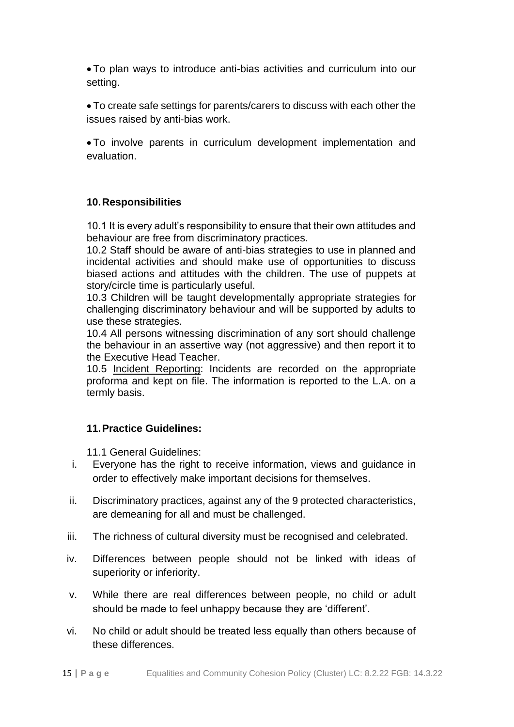To plan ways to introduce anti-bias activities and curriculum into our setting.

 To create safe settings for parents/carers to discuss with each other the issues raised by anti-bias work.

 To involve parents in curriculum development implementation and evaluation.

# **10.Responsibilities**

10.1 It is every adult's responsibility to ensure that their own attitudes and behaviour are free from discriminatory practices.

10.2 Staff should be aware of anti-bias strategies to use in planned and incidental activities and should make use of opportunities to discuss biased actions and attitudes with the children. The use of puppets at story/circle time is particularly useful.

10.3 Children will be taught developmentally appropriate strategies for challenging discriminatory behaviour and will be supported by adults to use these strategies.

10.4 All persons witnessing discrimination of any sort should challenge the behaviour in an assertive way (not aggressive) and then report it to the Executive Head Teacher.

10.5 Incident Reporting: Incidents are recorded on the appropriate proforma and kept on file. The information is reported to the L.A. on a termly basis.

#### **11.Practice Guidelines:**

11.1 General Guidelines:

- i. Everyone has the right to receive information, views and guidance in order to effectively make important decisions for themselves.
- ii. Discriminatory practices, against any of the 9 protected characteristics, are demeaning for all and must be challenged.
- iii. The richness of cultural diversity must be recognised and celebrated.
- iv. Differences between people should not be linked with ideas of superiority or inferiority.
- v. While there are real differences between people, no child or adult should be made to feel unhappy because they are 'different'.
- vi. No child or adult should be treated less equally than others because of these differences.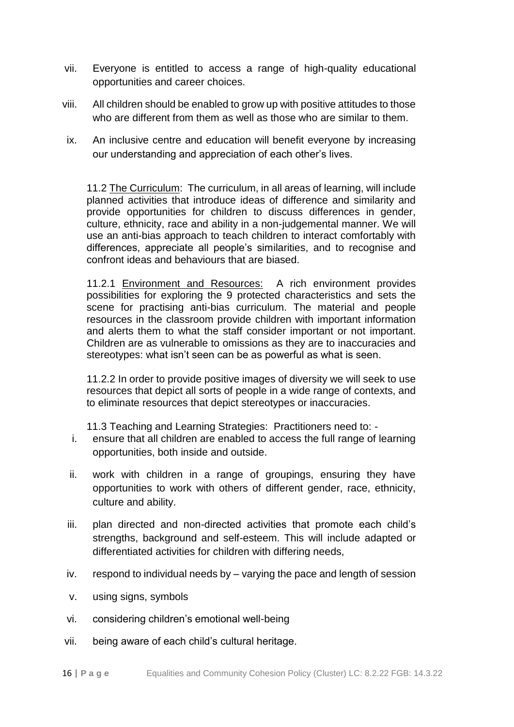- vii. Everyone is entitled to access a range of high-quality educational opportunities and career choices.
- viii. All children should be enabled to grow up with positive attitudes to those who are different from them as well as those who are similar to them.
- ix. An inclusive centre and education will benefit everyone by increasing our understanding and appreciation of each other's lives.

11.2 The Curriculum: The curriculum, in all areas of learning, will include planned activities that introduce ideas of difference and similarity and provide opportunities for children to discuss differences in gender, culture, ethnicity, race and ability in a non-judgemental manner. We will use an anti-bias approach to teach children to interact comfortably with differences, appreciate all people's similarities, and to recognise and confront ideas and behaviours that are biased.

11.2.1 Environment and Resources: A rich environment provides possibilities for exploring the 9 protected characteristics and sets the scene for practising anti-bias curriculum. The material and people resources in the classroom provide children with important information and alerts them to what the staff consider important or not important. Children are as vulnerable to omissions as they are to inaccuracies and stereotypes: what isn't seen can be as powerful as what is seen.

11.2.2 In order to provide positive images of diversity we will seek to use resources that depict all sorts of people in a wide range of contexts, and to eliminate resources that depict stereotypes or inaccuracies.

11.3 Teaching and Learning Strategies: Practitioners need to: -

- i. ensure that all children are enabled to access the full range of learning opportunities, both inside and outside.
- ii. work with children in a range of groupings, ensuring they have opportunities to work with others of different gender, race, ethnicity, culture and ability.
- iii. plan directed and non-directed activities that promote each child's strengths, background and self-esteem. This will include adapted or differentiated activities for children with differing needs,
- iv. respond to individual needs by varying the pace and length of session
- v. using signs, symbols
- vi. considering children's emotional well-being
- vii. being aware of each child's cultural heritage.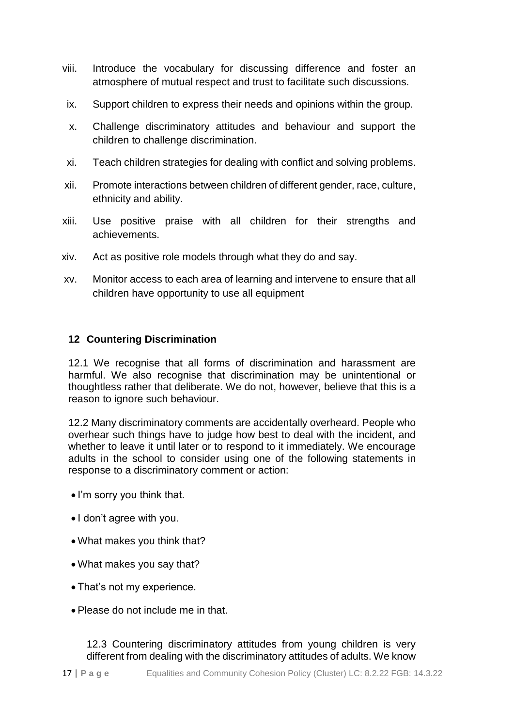- viii. Introduce the vocabulary for discussing difference and foster an atmosphere of mutual respect and trust to facilitate such discussions.
- ix. Support children to express their needs and opinions within the group.
- x. Challenge discriminatory attitudes and behaviour and support the children to challenge discrimination.
- xi. Teach children strategies for dealing with conflict and solving problems.
- xii. Promote interactions between children of different gender, race, culture, ethnicity and ability.
- xiii. Use positive praise with all children for their strengths and achievements.
- xiv. Act as positive role models through what they do and say.
- xv. Monitor access to each area of learning and intervene to ensure that all children have opportunity to use all equipment

# **12 Countering Discrimination**

12.1 We recognise that all forms of discrimination and harassment are harmful. We also recognise that discrimination may be unintentional or thoughtless rather that deliberate. We do not, however, believe that this is a reason to ignore such behaviour.

12.2 Many discriminatory comments are accidentally overheard. People who overhear such things have to judge how best to deal with the incident, and whether to leave it until later or to respond to it immediately. We encourage adults in the school to consider using one of the following statements in response to a discriminatory comment or action:

- I'm sorry you think that.
- I don't agree with you.
- What makes you think that?
- What makes you say that?
- That's not my experience.
- Please do not include me in that.

12.3 Countering discriminatory attitudes from young children is very different from dealing with the discriminatory attitudes of adults. We know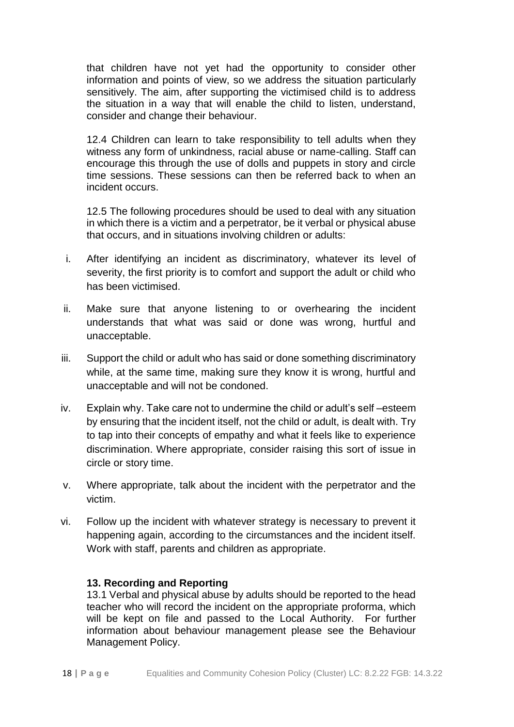that children have not yet had the opportunity to consider other information and points of view, so we address the situation particularly sensitively. The aim, after supporting the victimised child is to address the situation in a way that will enable the child to listen, understand, consider and change their behaviour.

12.4 Children can learn to take responsibility to tell adults when they witness any form of unkindness, racial abuse or name-calling. Staff can encourage this through the use of dolls and puppets in story and circle time sessions. These sessions can then be referred back to when an incident occurs.

12.5 The following procedures should be used to deal with any situation in which there is a victim and a perpetrator, be it verbal or physical abuse that occurs, and in situations involving children or adults:

- i. After identifying an incident as discriminatory, whatever its level of severity, the first priority is to comfort and support the adult or child who has been victimised.
- ii. Make sure that anyone listening to or overhearing the incident understands that what was said or done was wrong, hurtful and unacceptable.
- iii. Support the child or adult who has said or done something discriminatory while, at the same time, making sure they know it is wrong, hurtful and unacceptable and will not be condoned.
- iv. Explain why. Take care not to undermine the child or adult's self –esteem by ensuring that the incident itself, not the child or adult, is dealt with. Try to tap into their concepts of empathy and what it feels like to experience discrimination. Where appropriate, consider raising this sort of issue in circle or story time.
- v. Where appropriate, talk about the incident with the perpetrator and the victim.
- vi. Follow up the incident with whatever strategy is necessary to prevent it happening again, according to the circumstances and the incident itself. Work with staff, parents and children as appropriate.

#### **13. Recording and Reporting**

13.1 Verbal and physical abuse by adults should be reported to the head teacher who will record the incident on the appropriate proforma, which will be kept on file and passed to the Local Authority. For further information about behaviour management please see the Behaviour Management Policy.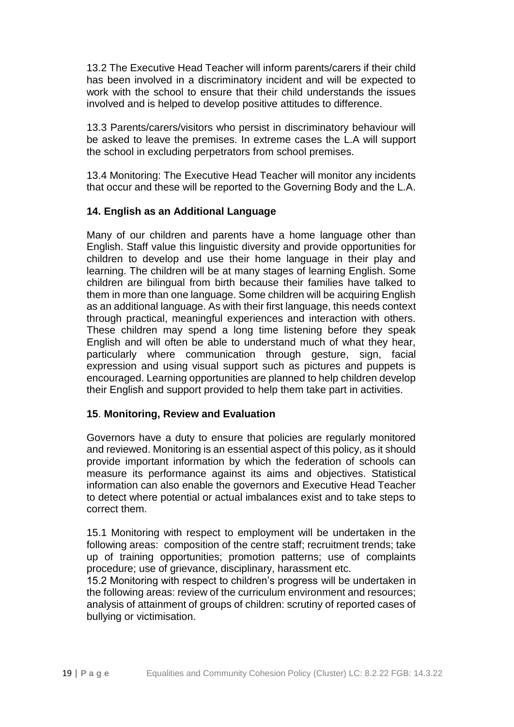13.2 The Executive Head Teacher will inform parents/carers if their child has been involved in a discriminatory incident and will be expected to work with the school to ensure that their child understands the issues involved and is helped to develop positive attitudes to difference.

13.3 Parents/carers/visitors who persist in discriminatory behaviour will be asked to leave the premises. In extreme cases the L.A will support the school in excluding perpetrators from school premises.

13.4 Monitoring: The Executive Head Teacher will monitor any incidents that occur and these will be reported to the Governing Body and the L.A.

### **14. English as an Additional Language**

Many of our children and parents have a home language other than English. Staff value this linguistic diversity and provide opportunities for children to develop and use their home language in their play and learning. The children will be at many stages of learning English. Some children are bilingual from birth because their families have talked to them in more than one language. Some children will be acquiring English as an additional language. As with their first language, this needs context through practical, meaningful experiences and interaction with others. These children may spend a long time listening before they speak English and will often be able to understand much of what they hear, particularly where communication through gesture, sign, facial expression and using visual support such as pictures and puppets is encouraged. Learning opportunities are planned to help children develop their English and support provided to help them take part in activities.

#### **15**. **Monitoring, Review and Evaluation**

Governors have a duty to ensure that policies are regularly monitored and reviewed. Monitoring is an essential aspect of this policy, as it should provide important information by which the federation of schools can measure its performance against its aims and objectives. Statistical information can also enable the governors and Executive Head Teacher to detect where potential or actual imbalances exist and to take steps to correct them.

15.1 Monitoring with respect to employment will be undertaken in the following areas: composition of the centre staff; recruitment trends; take up of training opportunities; promotion patterns; use of complaints procedure; use of grievance, disciplinary, harassment etc.

15.2 Monitoring with respect to children's progress will be undertaken in the following areas: review of the curriculum environment and resources; analysis of attainment of groups of children: scrutiny of reported cases of bullying or victimisation.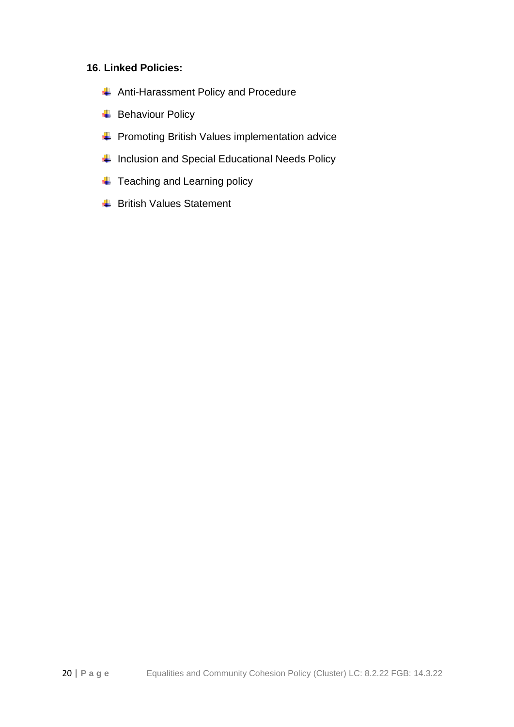## **16. Linked Policies:**

- **Anti-Harassment Policy and Procedure**
- $\overline{\phantom{a}}$  Behaviour Policy
- **+** Promoting British Values implementation advice
- $\ddot{\phantom{1}}$  Inclusion and Special Educational Needs Policy
- **↓** Teaching and Learning policy
- $\overline{\phantom{a}}$  British Values Statement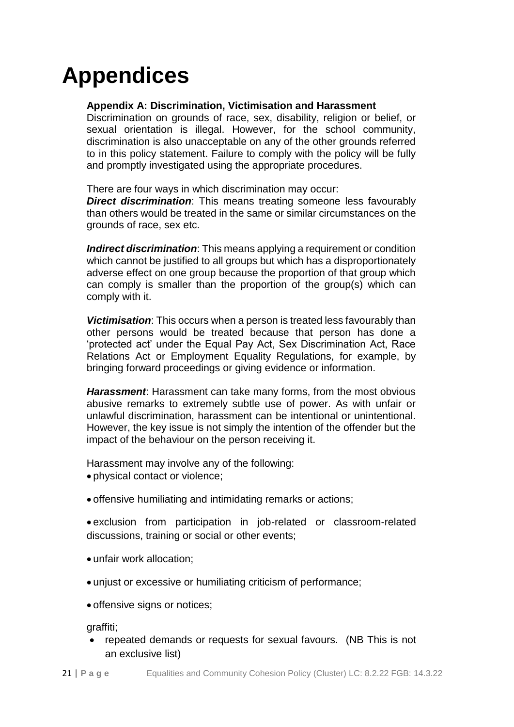# **Appendices**

## **Appendix A: Discrimination, Victimisation and Harassment**

Discrimination on grounds of race, sex, disability, religion or belief, or sexual orientation is illegal. However, for the school community, discrimination is also unacceptable on any of the other grounds referred to in this policy statement. Failure to comply with the policy will be fully and promptly investigated using the appropriate procedures.

There are four ways in which discrimination may occur:

*Direct discrimination*: This means treating someone less favourably than others would be treated in the same or similar circumstances on the grounds of race, sex etc.

*Indirect discrimination*: This means applying a requirement or condition which cannot be justified to all groups but which has a disproportionately adverse effect on one group because the proportion of that group which can comply is smaller than the proportion of the group(s) which can comply with it.

*Victimisation*: This occurs when a person is treated less favourably than other persons would be treated because that person has done a 'protected act' under the Equal Pay Act, Sex Discrimination Act, Race Relations Act or Employment Equality Regulations, for example, by bringing forward proceedings or giving evidence or information.

*Harassment*: Harassment can take many forms, from the most obvious abusive remarks to extremely subtle use of power. As with unfair or unlawful discrimination, harassment can be intentional or unintentional. However, the key issue is not simply the intention of the offender but the impact of the behaviour on the person receiving it.

Harassment may involve any of the following:

- physical contact or violence;
- offensive humiliating and intimidating remarks or actions;

 exclusion from participation in job-related or classroom-related discussions, training or social or other events;

- unfair work allocation;
- unjust or excessive or humiliating criticism of performance;
- offensive signs or notices;

graffiti;

 repeated demands or requests for sexual favours. (NB This is not an exclusive list)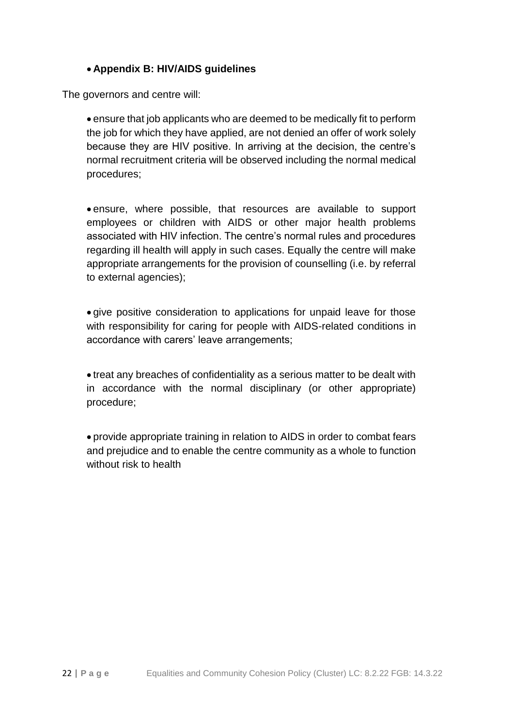# **Appendix B: HIV/AIDS guidelines**

The governors and centre will:

 ensure that job applicants who are deemed to be medically fit to perform the job for which they have applied, are not denied an offer of work solely because they are HIV positive. In arriving at the decision, the centre's normal recruitment criteria will be observed including the normal medical procedures;

 ensure, where possible, that resources are available to support employees or children with AIDS or other major health problems associated with HIV infection. The centre's normal rules and procedures regarding ill health will apply in such cases. Equally the centre will make appropriate arrangements for the provision of counselling (i.e. by referral to external agencies);

 give positive consideration to applications for unpaid leave for those with responsibility for caring for people with AIDS-related conditions in accordance with carers' leave arrangements;

 treat any breaches of confidentiality as a serious matter to be dealt with in accordance with the normal disciplinary (or other appropriate) procedure;

 provide appropriate training in relation to AIDS in order to combat fears and prejudice and to enable the centre community as a whole to function without risk to health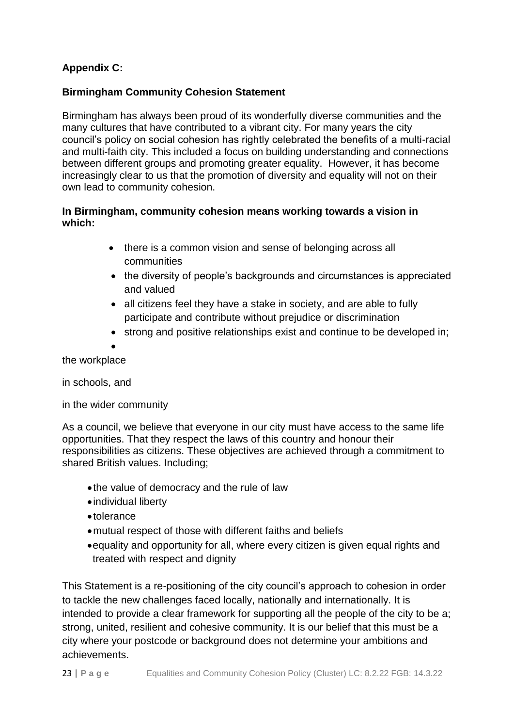# **Appendix C:**

# **Birmingham Community Cohesion Statement**

Birmingham has always been proud of its wonderfully diverse communities and the many cultures that have contributed to a vibrant city. For many years the city council's policy on social cohesion has rightly celebrated the benefits of a multi-racial and multi-faith city. This included a focus on building understanding and connections between different groups and promoting greater equality. However, it has become increasingly clear to us that the promotion of diversity and equality will not on their own lead to community cohesion.

## **In Birmingham, community cohesion means working towards a vision in which:**

- there is a common vision and sense of belonging across all communities
- the diversity of people's backgrounds and circumstances is appreciated and valued
- all citizens feel they have a stake in society, and are able to fully participate and contribute without prejudice or discrimination
- strong and positive relationships exist and continue to be developed in:

 $\bullet$ the workplace

in schools, and

in the wider community

As a council, we believe that everyone in our city must have access to the same life opportunities. That they respect the laws of this country and honour their responsibilities as citizens. These objectives are achieved through a commitment to shared British values. Including;

- the value of democracy and the rule of law
- individual liberty
- tolerance
- mutual respect of those with different faiths and beliefs
- equality and opportunity for all, where every citizen is given equal rights and treated with respect and dignity

This Statement is a re-positioning of the city council's approach to cohesion in order to tackle the new challenges faced locally, nationally and internationally. It is intended to provide a clear framework for supporting all the people of the city to be a; strong, united, resilient and cohesive community. It is our belief that this must be a city where your postcode or background does not determine your ambitions and achievements.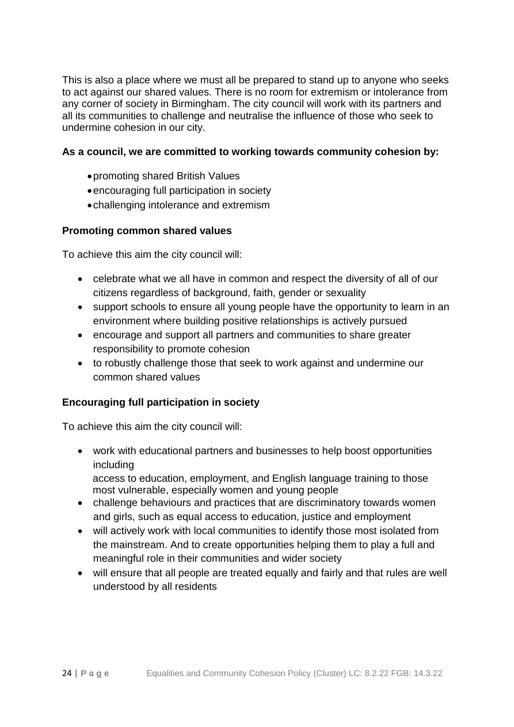This is also a place where we must all be prepared to stand up to anyone who seeks to act against our shared values. There is no room for extremism or intolerance from any corner of society in Birmingham. The city council will work with its partners and all its communities to challenge and neutralise the influence of those who seek to undermine cohesion in our city.

### **As a council, we are committed to working towards community cohesion by:**

- promoting shared British Values
- encouraging full participation in society
- challenging intolerance and extremism

### **Promoting common shared values**

To achieve this aim the city council will:

- celebrate what we all have in common and respect the diversity of all of our citizens regardless of background, faith, gender or sexuality
- support schools to ensure all young people have the opportunity to learn in an environment where building positive relationships is actively pursued
- encourage and support all partners and communities to share greater responsibility to promote cohesion
- to robustly challenge those that seek to work against and undermine our common shared values

# **Encouraging full participation in society**

To achieve this aim the city council will:

 work with educational partners and businesses to help boost opportunities including

access to education, employment, and English language training to those most vulnerable, especially women and young people

- challenge behaviours and practices that are discriminatory towards women and girls, such as equal access to education, justice and employment
- will actively work with local communities to identify those most isolated from the mainstream. And to create opportunities helping them to play a full and meaningful role in their communities and wider society
- will ensure that all people are treated equally and fairly and that rules are well understood by all residents